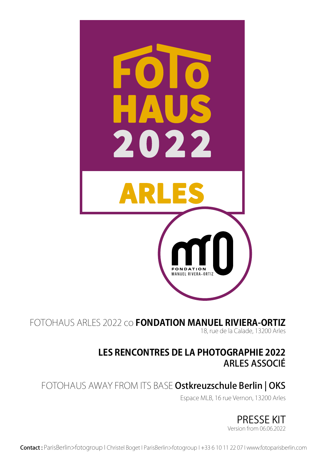

FOTOHAUS ARLES 2022 co **FONDATION MANUEL RIVIERA-ORTIZ** 18, rue de la Calade, 13200 Arles

### **LES RENCONTRES DE LA PHOTOGRAPHIE 2022** ARLES ASSOCIÉ

### FOTOHAUS AWAY FROM ITS BASE Ostkreuzschule Berlin | OKS

Espace MLB, 16 rue Vernon, 13200 Arles

PRESSE KIT Version from 06.06.2022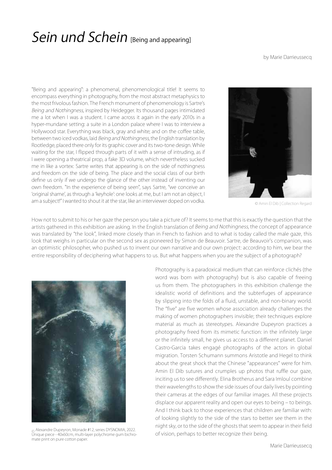### Sein und Schein [Being and appearing]

by Marie Darrieussecq

"Being and appearing": a phenomenal, phenomenological title! It seems to encompass everything in photography, from the most abstract metaphysics to the most frivolous fashion. The French monument of phenomenology is Sartre's Being and Nothingness, inspired by Heidegger. Its thousand pages intimidated me a lot when I was a student. I came across it again in the early 2010s in a hyper-mundane setting: a suite in a London palace where I was to interview a Hollywood star. Everything was black, gray and white; and on the coffee table, between two iced vodkas, laid Being and Nothingness, the English translation by Rootledge, placed there only for its graphic cover and its two-tone design. While waiting for the star, I flipped through parts of it with a sense of intruding, as if I were opening a theatrical prop, a fake 3D volume, which nevertheless sucked me in like a vortex: Sartre writes that appearing is on the side of nothingness and freedom on the side of being. The place and the social class of our birth define us only if we undergo the glance of the other instead of inventing our own freedom. "In the experience of being seen", says Sartre, "we conceive an 'original shame', as through a 'keyhole': one looks at me, but I am not an object, I am a subject!" I wanted to shout it at the star, like an interviewer doped on vodka. © Amin El Dib | Collection Regard



How not to submit to his or her gaze the person you take a picture of? It seems to me that this is exactly the question that the artists gathered in this exhibition are asking. In the English translation of Being and Nothingness, the concept of appearance was translated by "the look", linked more closely than in French to fashion and to what is today called the male gaze, this look that weighs in particular on the second sex as pioneered by Simon de Beauvoir. Sartre, de Beauvoir's companion, was an optimistic philosopher, who pushed us to invent our own narrative and our own project: according to him, we bear the entire responsibility of deciphering what happens to us. But what happens when you are the subject of a photograph?



© Alexandre Dupeyron, Monade #12, series DYSNOMIA, 2022. Unique piece - 40x60cm, multi-layer polychrome gum bichromate print on pure cotton paper.

Photography is a paradoxical medium that can reinforce clichés (the word was born with photography) but is also capable of freeing us from them. The photographers in this exhibition challenge the idealistic world of definitions and the subterfuges of appearance by slipping into the folds of a fluid, unstable, and non-binary world. The "five" are five women whose association already challenges the making of women photographers invisible; their techniques explore material as much as stereotypes. Alexandre Dupeyron practices a photography freed from its mimetic function: in the infinitely large or the infinitely small, he gives us access to a different planet. Daniel Castro-Garcia takes engagé photographs of the actors in global migration. Torsten Schumann summons Aristotle and Hegel to think about the great shock that the Chinese "appearances" were for him. Amin El Dib sutures and crumples up photos that ruffle our gaze, inciting us to see differently. Elina Brotherus and Sara Imloul combine their wavelengths to show the side issues of our daily lives by pointing their cameras at the edges of our familiar images. All these projects displace our apparent reality and open our eyes to being – to beings. And I think back to those experiences that children are familiar with: of looking slightly to the side of the stars to better see them in the night sky, or to the side of the ghosts that seem to appear in their field of vision, perhaps to better recognize their being.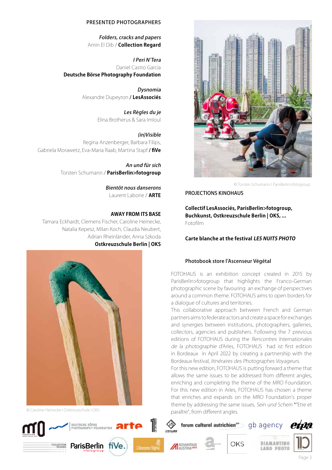

© Torsten Schumann I ParisBerlin>fotogroup

PROJECTIONS KINOHAUS

**Collectif LesAssociés, ParisBerlin>fotogroup, Buchkunst, Ostkreuzschule Berlin | OKS, ...** Fotofilm

#### **Carte blanche at the festival LES NUITS PHOTO**

#### Photobook store l'Ascenseur Végétal

FOTOHAUS is an exhibition concept created in 2015 by ParisBerlin>fotogroup that highlights the Franco-German photographic scene by favouring an exchange of perspectives around a common theme. FOTOHAUS aims to open borders for a dialogue of cultures and territories.

This collaborative approach between French and German partners aims to federate actors and create a space for exchanges and synergies between institutions, photographers, galleries, collectors, agencies and publishers. Following the 7 previous editions of FOTOHAUS during the Rencontres Internationales de la photographie d'Arles, FOTOHAUS had ist first edition in Bordeaux in April 2022 by creating a partnership with the Bordeaux festival, Itinéraires des Photographes Voyageurs.

For this new edition, FOTOHAUS is putting forward a theme that allows the same issues to be addressed from different angles, enriching and completing the theme of the MRO Foundation. For this new edition in Arles, FOTOHAUS has chosen a theme that enriches and expands on the MRO Foundation's proper theme by addressing the same issues, Sein und Schein \*"Etre et © Caroline Heinecke I Ostkreuzschule I OKS **Einer anglese I Caroline Heinecke I Ostkreuzschule I OKS Caroline I Daraître** ", from different angles.

forum culturel autrichien<sup>py-</sup> qb agency

ADVANTAGE





#### PRESENTED PHOTOGRAPHERS

Folders, cracks and papers Amin El Dib / **Collection Regard**

I Peri N'Tera Daniel Castro Garcia **Deutsche Börse Photography Foundation**

> Dysnomia Alexandre Dupeyron / **LesAssociés**

> > Les Règles du je Elina Brotherus & Sara Imloul

(in)Visible Regina Anzenberger, Barbara Filips, Gabriela Morawetz, Eva-Maria Raab, Martina Stapf / **fiVe**

> An und für sich Torsten Schumann / **ParisBerlin>fotogroup**

> > Bientôt nous danserons Laurent Laborie / **ARTE**

### **AWAY FROM ITS BASE**

Tamara Eckhardt, Clemens Fischer, Caroline Heinecke, Natalia Kepesz, Milan Koch, Claudia Neubert, Adrian Rheinländer, Anna Szkoda **Ostkreuzschule Berlin | OKS**



DEUTSCHE BÖRSE<br>PHOTOGRAPHY FOUNDATION

fiVe

**ParisBerlin** 









**etpa**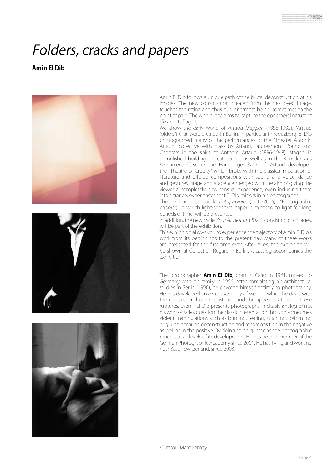# Folders, cracks and papers

### **Amin El Dib**







Amin El Dib follows a unique path of the brutal deconstruction of his images. The new construction, created from the destroyed image, touches the retina and thus our innermost being, sometimes to the point of pain. The whole idea aims to capture the ephemeral nature of life and its fragility.

We show the early works of Artaud Mappen (1988-1992), "Artaud folders") that were created in Berlin, in particular in Kreuzberg. El Dib photographed many of the performances of the "Theater Antonin Artaud" collective with plays by Artaud, Lautréamont, Pound and Cendrars in the spirit of Antonin Artaud (1896-1948), staged in demolished buildings or catacombs as well as in the Künstlerhaus Bethanien, SO36 or the Hamburger Bahnhof. Artaud developed the "Theatre of Cruelty" which broke with the classical mediation of literature and offered compositions with sound and voice, dance and gestures. Stage and audience merged with the aim of giving the viewer a completely new sensual experience, even inducing them into a trance, experiences that El Dib mirrors in his photographs.

The experimental work Fotopapiere (2002-2006), "Photographic papers"), in which light-sensitive paper is exposed to light for long periods of time, will be presented.

In addition, the new cycle Your All Beauty (2021), consisting of collages, will be part of the exhibition.

This exhibition allows you to experience the trajectory of Amin El Dib's work from its beginnings to the present day. Many of these works are presented for the first time ever. After Arles, the exhibition will be shown at Collection Regard in Berlin. A catalog accompanies the exhibition.

The photographer **Amin El Dib**, born in Cairo in 1961, moved to Germany with his family in 1966. After completing his architectural studies in Berlin (1990), he devoted himself entirely to photography. He has developed an extensive body of work in which he deals with the ruptures in human existence and the appeal that lies in these ruptures. Even if El Dib presents photographs in classic analog prints, his works/cycles question the classic presentation through sometimes violent manipulations such as burning, tearing, stitching, deforming or gluing, through deconstruction and recomposition in the negative as well as in the positive. By doing so he questions the photographic process at all levels of its development. He has been a member of the German Photographic Academy since 2001. He has living and working near Basel, Switzerland, since 2003.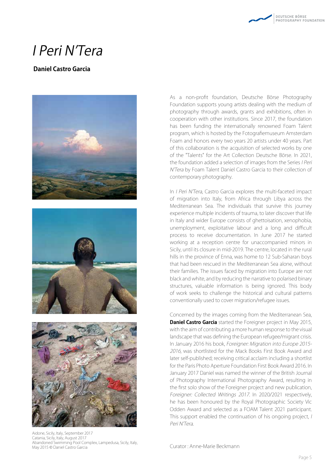### I Peri N'Tera

### **Daniel Castro Garcia**







Aidone, Sicily, Italy, September 2017 Catania, Sicily, Italy, August 2017 Abandoned Swimming Pool Complex, Lampedusa, Sicily, Italy, May 2015 © Daniel Castro Garcia

As a non-profit foundation, Deutsche Börse Photography Foundation supports young artists dealing with the medium of photography through awards, grants and exhibitions, often in cooperation with other institutions. Since 2017, the foundation has been funding the internationally renowned Foam Talent program, which is hosted by the Fotografiemuseum Amsterdam Foam and honors every two years 20 artists under 40 years. Part of this collaboration is the acquisition of selected works by one of the "Talents" for the Art Collection Deutsche Börse. In 2021, the foundation added a selection of images from the Series I Peri N'Tera by Foam Talent Daniel Castro Garcia to their collection of contemporary photography.

In *I Peri N'Tera*, Castro Garcia explores the multi-faceted impact of migration into Italy, from Africa through Libya across the Mediterranean Sea. The individuals that survive this journey experience multiple incidents of trauma, to later discover that life in Italy and wider Europe consists of ghettoisation, xenophobia, unemployment, exploitative labour and a long and difficult process to receive documentation. In June 2017 he started working at a reception centre for unaccompanied minors in Sicily, until its closure in mid-2019. The centre, located in the rural hills in the province of Enna, was home to 12 Sub-Saharan boys that had been rescued in the Mediterranean Sea alone, without their families. The issues faced by migration into Europe are not black and white, and by reducing the narrative to polarised binary structures, valuable information is being ignored. This body of work seeks to challenge the historical and cultural patterns conventionally used to cover migration/refugee issues.

Concerned by the images coming from the Mediterranean Sea, **Daniel Castro Garcia** started the Foreigner project in May 2015, with the aim of contributing a more human response to the visual landscape that was defining the European refugee/migrant crisis. In January 2016 his book, Foreigner: Migration into Europe 2015- 2016, was shortlisted for the Mack Books First Book Award and later self-published; receiving critical acclaim including a shortlist for the Paris Photo Aperture Foundation First Book Award 2016. In January 2017 Daniel was named the winner of the British Journal of Photography International Photography Award, resulting in the first solo show of the Foreigner project and new publication, Foreigner: Collected Writings 2017. In 2020/2021 respectively, he has been honoured by the Royal Photographic Society Vic Odden Award and selected as a FOAM Talent 2021 participant. This support enabled the continuation of his ongoing project, I Peri N'Tera.

Curator : Anne-Marie Beckmann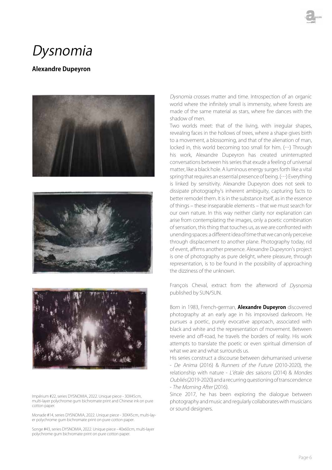### Dysnomia

### **Alexandre Dupeyron**







Impérium #22, series DYSNOMIA, 2022. Unique piece - 30X45cm, multi-layer polychrome gum bichromate print and Chinese ink on pure cotton paper

Monade #14, series DYSNOMIA, 2022. Unique piece - 30X45cm, multi-layer polychrome gum bichromate print on pure cotton paper.

Songe #43, series DYSNOMIA, 2022. Unique piece - 40x60cm, multi-layer polychrome gum bichromate print on pure cotton paper.

Dysnomia crosses matter and time. Introspection of an organic world where the infinitely small is immensity, where forests are made of the same material as stars, where fire dances with the shadow of men.

Two worlds meet: that of the living, with irregular shapes, revealing faces in the hollows of trees, where a shape gives birth to a movement, a blossoming, and that of the alienation of man, locked in, this world becoming too small for him. (…) Through his work, Alexandre Dupeyron has created uninterrupted conversations between his series that exude a feeling of universal matter, like a black hole. A luminous energy surges forth like a vital spring that requires an essential presence of being. (…) Everything is linked by sensitivity. Alexandre Dupeyron does not seek to dissipate photography's inherent ambiguity, capturing facts to better remodel them. It is in the substance itself, as in the essence of things – these inseparable elements – that we must search for our own nature. In this way neither clarity nor explanation can arise from contemplating the images, only a poetic combination of sensation, this thing that touches us, as we are confronted with unending spaces: a different idea of time that we can only perceive through displacement to another plane. Photography today, rid of event, affirms another presence. Alexandre Dupeyron's project is one of photography as pure delight, where pleasure, through representation, is to be found in the possibility of approaching the dizziness of the unknown.

François Cheval, extract from the afterword of Dysnomia published by SUN/SUN.

Born in 1983, French-german, **Alexandre Dupeyron** discovered photography at an early age in his improvised darkroom. He pursues a poetic, purely evocative approach, associated with black and white and the representation of movement. Between reverie and off-road, he travels the borders of reality. His work attempts to translate the poetic or even spiritual dimension of what we are and what surrounds us.

His series construct a discourse between dehumanised universe - De Anima (2016) & Runners of the Future (2010-2020), the relationship with nature - L'étale des saisons (2014) & Mondes Oubliés (2019-2020) and a recurring questioning of transcendence - The Morning After (2016).

Since 2017, he has been exploring the dialogue between photography and music and regularly collaborates with musicians or sound designers.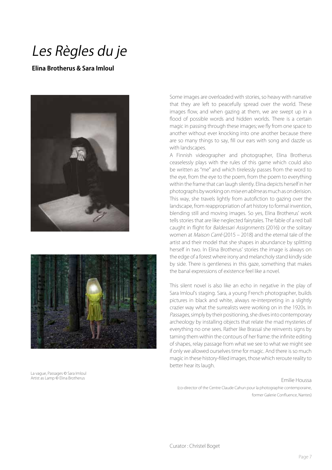### Les Règles du je

### **Elina Brotherus & Sara Imloul**





La vague, Passages © Sara Imloul Artist as Lamp © Elina Brotherus

Some images are overloaded with stories, so heavy with narrative that they are left to peacefully spread over the world. These images flow, and when gazing at them, we are swept up in a flood of possible words and hidden worlds. There is a certain magic in passing through these images; we fly from one space to another without ever knocking into one another because there are so many things to say, fill our ears with song and dazzle us with landscapes.

A Finnish videographer and photographer, Elina Brotherus ceaselessly plays with the rules of this game which could also be written as "me" and which tirelessly passes from the word to the eye, from the eye to the poem, from the poem to everything within the frame that can laugh silently. Elina depicts herself in her photographs by working on mise en abîme as much as on derision. This way, she travels lightly from autofiction to gazing over the landscape, from reappropriation of art history to formal invention, blending still and moving images. So yes, Elina Brotherus' work tells stories that are like neglected fairytales. The fable of a red ball caught in flight for Baldessari Assignments (2016) or the solitary women at Maison Carré (2015 – 2018) and the eternal tale of the artist and their model that she shapes in abundance by splitting herself in two. In Elina Brotherus' stories the image is always on the edge of a forest where irony and melancholy stand kindly side by side. There is gentleness in this gaze, something that makes the banal expressions of existence feel like a novel.

This silent novel is also like an echo in negative in the play of Sara Imloul's staging. Sara, a young French photographer, builds pictures in black and white, always re-interpreting in a slightly crazier way what the surrealists were working on in the 1920s. In Passages, simply by their positioning, she dives into contemporary archeology by installing objects that relate the mad mysteries of everything no one sees. Rather like Brassaï she reinvents signs by taming them within the contours of her frame: the infinite editing of shapes, relay passage from what we see to what we might see if only we allowed ourselves time for magic. And there is so much magic in these history-filled images, those which reroute reality to better hear its laugh.

Emilie Houssa (co-director of the Centre Claude Cahun pour la photographie contemporaine, former Galerie Confluence, Nantes)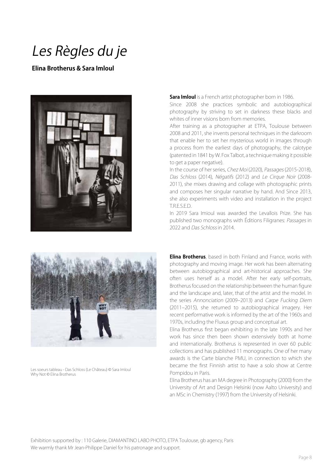## Les Règles du je

### **Elina Brotherus & Sara Imloul**



#### **Sara Imloul** is a French artist photographer born in 1986.

Since 2008 she practices symbolic and autobiographical photography by striving to set in darkness these blacks and whites of inner visions born from memories.

After training as a photographer at ETPA, Toulouse between 2008 and 2011, she invents personal techniques in the darkroom that enable her to set her mysterious world in images through a process from the earliest days of photography, the calotype (patented in 1841 by W. Fox Talbot, a technique making it possible to get a paper negative).

In the course of her series, Chez Moi (2020), Passages (2015-2018), Das Schloss (2014), Négatifs (2012) and Le Cirque Noir (2008-2011), she mixes drawing and collage with photographic prints and composes her singular narrative by hand. And Since 2013, she also experiments with video and installation in the project T.R.E.S.E.D.

In 2019 Sara Imioul was awarded the Levallois Prize. She has published two monographs with Éditions Filigranes: Passages in 2022 and Das Schloss in 2014.



Les soeurs tableau - Das Schloss (Le Château) © Sara Imloul Why Not © Elina Brotherus

**Elina Brotherus**, based in both Finland and France, works with photography and moving image. Her work has been alternating between autobiographical and art-historical approaches. She often uses herself as a model. After her early self-portraits, Brotherus focused on the relationship between the human figure and the landscape and, later, that of the artist and the model. In the series Annonciation (2009–2013) and Carpe Fucking Diem (2011–2015), she returned to autobiographical imagery. Her recent performative work is informed by the art of the 1960s and 1970s, including the Fluxus group and conceptual art.

Elina Brotherus first began exhibiting in the late 1990s and her work has since then been shown extensively both at home and internationally. Brotherus is represented in over 60 public collections and has published 11 monographs. One of her many awards is the Carte blanche PMU, in connection to which she became the first Finnish artist to have a solo show at Centre Pompidou in Paris.

Elina Brotherus has an MA degree in Photography (2000) from the University of Art and Design Helsinki (now Aalto University) and an MSc in Chemistry (1997) from the University of Helsinki.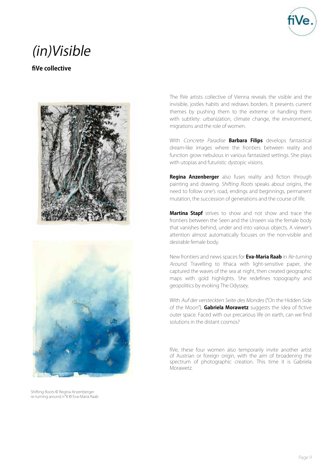

### (in)Visible

### **fiVe collective**





Shifting Roots © Regina Anzenberger re-turning around n°8 © Eva-Maria Raab

The fiVe artists collective of Vienna reveals the visible and the invisible, jostles habits and redraws borders. It presents current themes by pushing them to the extreme or handling them with subtlety: urbanization, climate change, the environment, migrations and the role of women.

With Concrete Paradise **Barbara Filips** develops fantastical dream-like images where the frontiers between reality and function grow nebulous in various fantasized settings. She plays with utopias and futuristic dystopic visions.

**Regina Anzenberger** also fuses reality and fiction through painting and drawing. Shifting Roots speaks about origins, the need to follow one's road, endings and beginnings, permanent mutation, the succession of generations and the course of life.

**Martina Stapf** strives to show and not show and trace the frontiers between the Seen and the Unseen via the female body that vanishes behind, under and into various objects. A viewer's attention almost automatically focuses on the non-visible and desirable female body.

New frontiers and news spaces for **Eva-Maria Raab** in Re-turning Around. Travelling to Ithaca with light-sensitive paper, she captured the waves of the sea at night, then created geographic maps with gold highlights. She redefines topography and geopolitics by evoking The Odyssey.

With Auf der versteckten Seite des Mondes ("On the Hidden Side of the Moon"), **Gabriela Morawetz** suggests the idea of fictive outer space. Faced with our precarious life on earth, can we find solutions in the distant cosmos?

fiVe, these four women also temporarily invite another artist of Austrian or foreign origin, with the aim of broadening the spectrum of photographic creation. This time it is Gabriela Morawetz.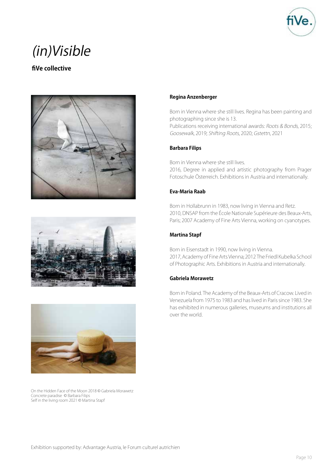

### (in)Visible

### **fiVe collective**







On the Hidden Face of the Moon 2018 © Gabriela Morawetz Concrete paradise © Barbara Filips Self in the living room 2021 © Martina Stapf

### **Regina Anzenberger**

Born in Vienna where she still lives. Regina has been painting and photographing since she is 13.

Publications receiving international awards: Roots & Bonds, 2015; Goosewalk, 2019; Shifting Roots, 2020; Gstettn, 2021

### **Barbara Filips**

Born in Vienna where she still lives. 2016, Degree in applied and artistic photography from Prager Fotoschule Österreich. Exhibitions in Austria and internationally.

### **Eva-Maria Raab**

Born in Hollabrunn in 1983, now living in Vienna and Retz. 2010, DNSAP from the École Nationale Supérieure des Beaux-Arts, Paris; 2007 Academy of Fine Arts Vienna, working on cyanotypes.

### **Martina Stapf**

Born in Eisenstadt in 1990, now living in Vienna. 2017, Academy of Fine Arts Vienna; 2012 The Friedl Kubelka School of Photographic Arts. Exhibitions in Austria and internationally.

#### **Gabriela Morawetz**

Born in Poland. The Academy of the Beaux-Arts of Cracow. Lived in Venezuela from 1975 to 1983 and has lived in Paris since 1983. She has exhibited in numerous galleries, museums and institutions all over the world.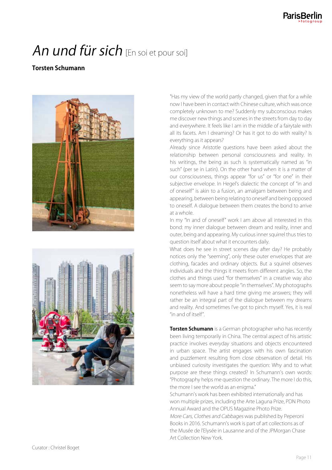# An und für sich [En soi et pour soi]

### **Torsten Schumann**





"Has my view of the world partly changed, given that for a while now I have been in contact with Chinese culture, which was once completely unknown to me? Suddenly my subconscious makes me discover new things and scenes in the streets from day to day and everywhere. It feels like I am in the middle of a fairytale with all its facets. Am I dreaming? Or has it got to do with reality? Is everything as it appears?

Already since Aristotle questions have been asked about the relationship between personal consciousness and reality. In his writings, the being as such is systematically named as "in such" (per se in Latin). On the other hand when it is a matter of our consciousness, things appear "for us" or "for one" in their subjective envelope. In Hegel's dialectic the concept of "in and of oneself" is akin to a fusion, an amalgam between being and appearing, between being relating to oneself and being opposed to oneself. A dialogue between them creates the bond to arrive at a whole.

In my "In and of oneself" work I am above all interested in this bond: my inner dialogue between dream and reality, inner and outer, being and appearing. My curious inner squirrel thus tries to question itself about what it encounters daily.

What does he see in street scenes day after day? He probably notices only the "seeming", only these outer envelopes that are clothing, facades and ordinary objects. But a squirrel observes individuals and the things it meets from different angles. So, the clothes and things used "for themselves" in a creative way also seem to say more about people "in themselves". My photographs nonetheless will have a hard time giving me answers; they will rather be an integral part of the dialogue between my dreams and reality. And sometimes I've got to pinch myself. Yes, it is real "in and of itself".

**Torsten Schumann** is a German photographer who has recently been living temporarily in China. The central aspect of his artistic practice involves everyday situations and objects encountered in urban space. The artist engages with his own fascination and puzzlement resulting from close observation of detail. His unbiased curiosity investigates the question: Why and to what purpose are these things created? In Schumann's own words: "Photography helps me question the ordinary. The more I do this, the more I see the world as an enigma."

Schumann's work has been exhibited internationally and has won multiple prizes, including the Arte Laguna Prize, PDN Photo Annual Award and the OPUS Magazine Photo Prize. More Cars, Clothes and Cabbages was published by Peperoni Books in 2016. Schumann's work is part of art collections as of the Musée de l'Elysée in Lausanne and of the JPMorgan Chase Art Collection New York.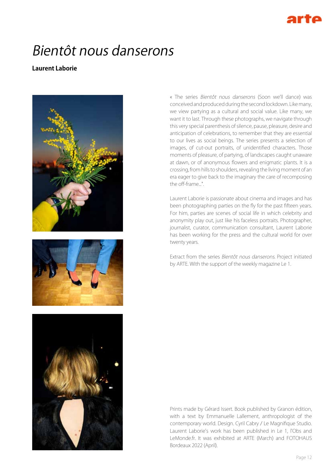# Bientôt nous danserons

### **Laurent Laborie**







« The series Bientôt nous danserons (Soon we'll dance) was conceived and produced during the second lockdown. Like many, we view partying as a cultural and social value. Like many, we want it to last. Through these photographs, we navigate through this very special parenthesis of silence, pause, pleasure, desire and anticipation of celebrations, to remember that they are essential to our lives as social beings. The series presents a selection of images, of cut-out portraits, of unidentified characters. Those moments of pleasure, of partying, of landscapes caught unaware at dawn, or of anonymous flowers and enigmatic plants. It is a crossing, from hills to shoulders, revealing the living moment of an era eager to give back to the imaginary the care of recomposing the off-frame..."

Laurent Laborie is passionate about cinema and images and has been photographing parties on the fly for the past fifteen years. For him, parties are scenes of social life in which celebrity and anonymity play out, just like his faceless portraits. Photographer, journalist, curator, communication consultant, Laurent Laborie has been working for the press and the cultural world for over twenty years.

Extract from the series Bientôt nous danserons. Project initiated by ARTE. With the support of the weekly magazine Le 1.

Prints made by Gérard Issert. Book published by Granon édition, with a text by Emmanuelle Lallement, anthropologist of the contemporary world. Design. Cyril Cabry / Le Magnifique Studio. Laurent Laborie's work has been published in Le 1, l'Obs and LeMonde.fr. It was exhibited at ARTE (March) and FOTOHAUS Bordeaux 2022 (April).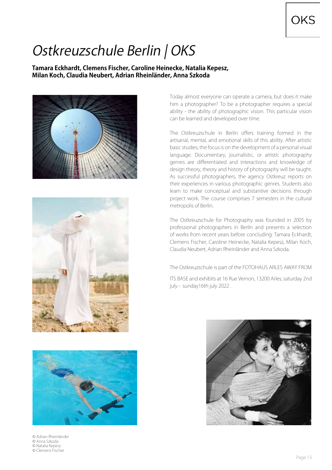## Ostkreuzschule Berlin | OKS

### **Tamara Eckhardt, Clemens Fischer, Caroline Heinecke, Natalia Kepesz, Milan Koch, Claudia Neubert, Adrian Rheinländer, Anna Szkoda**







© Adrian Rheinländer © Anna Szkoda © Natalia Kepesz © Clemens Fischer

Today almost everyone can operate a camera, but does it make him a photographer? To be a photographer requires a special ability - the ability of photographic vision. This particular vision can be learned and developed over time.

The Ostkreuzschule in Berlin offers training formed in the artisanal, mental, and emotional skills of this ability. After artistic basic studies, the focus is on the development of a personal visual language. Documentary, journalistic, or artistic photography genres are differentiated and interactions and knowledge of design theory, theory and history of photography will be taught. As successful photographers, the agency Ostkreuz reports on their experiences in various photographic genres. Students also learn to make conceptual and substantive decisions through project work. The course comprises 7 semesters in the cultural metropolis of Berlin.

The Ostkreuzschule for Photography was founded in 2005 by professional photographers in Berlin and presents a selection of works from recent years before concluding: Tamara Eckhardt, Clemens Fischer, Caroline Heinecke, Natalia Kepesz, Milan Koch, Claudia Neubert, Adrian Rheinländer and Anna Szkoda.

The Ostkreuzschule is part of the FOTOHAUS ARLES AWAY FROM

ITS BASE and exhibits at 16 Rue Vernon, 13200 Arles, saturday 2nd july - sunday16th july 2022 .

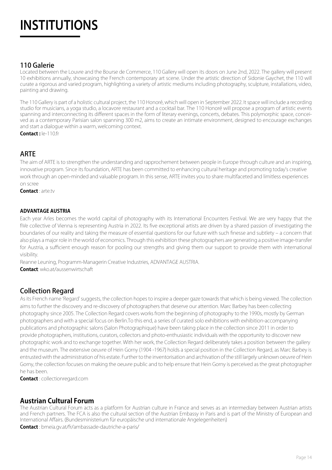# INSTITUTIONS INSTITUTIONS

### 110 Galerie

Located between the Louvre and the Bourse de Commerce, 110 Gallery will open its doors on June 2nd, 2022. The gallery will present 10 exhibitions annually, showcasing the French contemporary art scene. Under the artistic direction of Sidonie Gaychet, the 110 will curate a rigorous and varied program, highlighting a variety of artistic mediums including photography, sculpture, installations, video, painting and drawing.

The 110 Gallery is part of a holistic cultural project, the 110 Honoré, which will open in September 2022. It space will include a recording studio for musicians, a yoga studio, a locavore restaurant and a cocktail bar. The 110 Honoré will propose a program of artistic events spanning and interconnecting its different spaces in the form of literary evenings, concerts, debates. This polymorphic space, conceived as a contemporary Parisian salon spanning 300 m2, aims to create an intimate environment, designed to encourage exchanges and start a dialogue within a warm, welcoming context.

**Contact :** le-110.fr

### ARTE

The aim of ARTE is to strengthen the understanding and rapprochement between people in Europe through culture and an inspiring, innovative program. Since its foundation, ARTE has been committed to enhancing cultural heritage and promoting today's creative work through an open-minded and valuable program. In this sense, ARTE invites you to share multifaceted and limitless experiences on scree

**Contact** : arte.tv

### **ADVANTAGE AUSTRIA**

Each year Arles becomes the world capital of photography with its International Encounters Festival. We are very happy that the fiVe collective of Vienna is representing Austria in 2022. Its five exceptional artists are driven by a shared passion of investigating the boundaries of our reality and taking the measure of essential questions for our future with such finesse and subtlety – a concern that also plays a major role in the world of economics. Through this exhibition these photographers are generating a positive image-transfer for Austria, a sufficient enough reason for pooling our strengths and giving them our support to provide them with international visibility.

Reanne Leuning, Programm-Managerin Creative Industries, ADVANTAGE AUSTRIA.

**Contact**: wko.at/aussenwirtschaft

### Collection Regard

As its French name 'Regard' suggests, the collection hopes to inspire a deeper gaze towards that which is being viewed. The collection aims to further the discovery and re-discovery of photographers that deserve our attention. Marc Barbey has been collecting photography since 2005. The Collection Regard covers works from the beginning of photography to the 1990s, mostly by German photographers and with a special focus on Berlin.To this end, a series of curated solo exhibitions with exhibition-accompanying publications and photographic salons (Salon Photographique) have been taking place in the collection since 2011 in order to provide photographers, institutions, curators, collectors and photo-enthusiastic individuals with the opportunity to discover new photographic work and to exchange together. With her work, the Collection Regard deliberately takes a position between the gallery and the museum. The extensive oeuvre of Hein Gorny (1904 -1967) holds a special position in the Collection Regard, as Marc Barbey is entrusted with the administration of his estate. Further to the inventorisation and archivation of the still largely unknown oeuvre of Hein Gorny, the collection focuses on making the oeuvre public and to help ensure that Hein Gorny is perceived as the great photographer he has been.

**Contact** : collectionregard.com

### **Austrian Cultural Forum**

The Austrian Cultural Forum acts as a platform for Austrian culture in France and serves as an intermediary between Austrian artists and French partners. The FCA is also the cultural section of the Austrian Embassy in Paris and is part of the Ministry of European and International Affairs. (Bundesministerium für europäische und internationale Angelegenheiten)

**Contact** : bmeia.gv.at/fr/ambassade-dautriche-a-paris/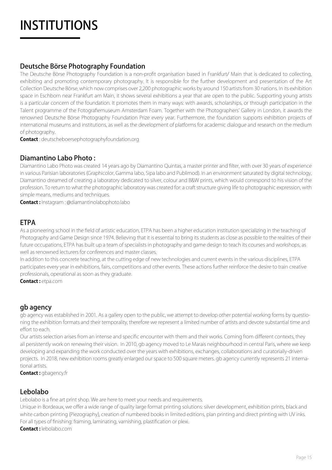# **INSTITUTIONS**

### Deutsche Börse Photography Foundation

The Deutsche Börse Photography Foundation is a non-profit organisation based in Frankfurt/ Main that is dedicated to collecting, exhibiting and promoting contemporary photography. It is responsible for the further development and presentation of the Art Collection Deutsche Börse, which now comprises over 2,200 photographic works by around 150 artists from 30 nations. In its exhibition space in Eschborn near Frankfurt am Main, it shows several exhibitions a year that are open to the public. Supporting young artists is a particular concern of the foundation. It promotes them in many ways: with awards, scholarships, or through participation in the Talent programme of the Fotografiemuseum Amsterdam Foam. Together with the Photographers' Gallery in London, it awards the renowned Deutsche Börse Photography Foundation Prize every year. Furthermore, the foundation supports exhibition projects of international museums and institutions, as well as the development of platforms for academic dialogue and research on the medium of photography.

**Contact** : deutscheboersephotographyfoundation.org

### Diamantino Labo Photo :

Diamantino Labo Photo was created 14 years ago by Diamantino Quintas, a master printer and filter, with over 30 years of experience in various Parisian laboratories (Graphicolor, Gamma labo, Sipa labo and Publimod). In an environment saturated by digital technology, Diamantino dreamed of creating a laboratory dedicated to silver, colour and B&W prints, which would correspond to his vision of the profession. To return to what the photographic laboratory was created for: a craft structure giving life to photographic expression, with simple means, mediums and techniques.

**Contact :** Instagram : @diamantinolabophoto.labo

### ETPA

As a pioneering school in the field of artistic education, ETPA has been a higher education institution specializing in the teaching of Photography and Game Design since 1974. Believing that it is essential to bring its students as close as possible to the realities of their future occupations, ETPA has built up a team of specialists in photography and game design to teach its courses and workshops, as well as renowned lecturers for conferences and master classes.

In addition to this concrete teaching, at the cutting edge of new technologies and current events in the various disciplines, ETPA participates every year in exhibitions, fairs, competitions and other events. These actions further reinforce the desire to train creative professionals, operational as soon as they graduate.

**Contact :** etpa.com

### gb agency

gb agency was established in 2001. As a gallery open to the public, we attempt to develop other potential working forms by questioning the exhibition formats and their temporality, therefore we represent a limited number of artists and devote substantial time and effort to each.

Our artists selection arises from an intense and specific encounter with them and their works. Coming from different contexts, they all persistently work on renewing their vision. In 2010, gb agency moved to Le Marais neighbourhood in central Paris, where we keep developing and expanding the work conducted over the years with exhibitions, exchanges, collaborations and curatorially-driven projects. In 2018, new exhibition rooms greatly enlarged our space to 500 square meters. gb agency currently represents 21 international artists.

**Contact :** gbagency.fr

### Lebolabo

Lebolabo is a fine art print shop. We are here to meet your needs and requirements.

Unique in Bordeaux, we offer a wide range of quality large format printing solutions: silver development, exhibition prints, black and white carbon printing (Piezography), creation of numbered books in limited editions, plan printing and direct printing with UV inks. For all types of finishing: framing, laminating, varnishing, plastification or plexi. **Contact :** lebolabo.com